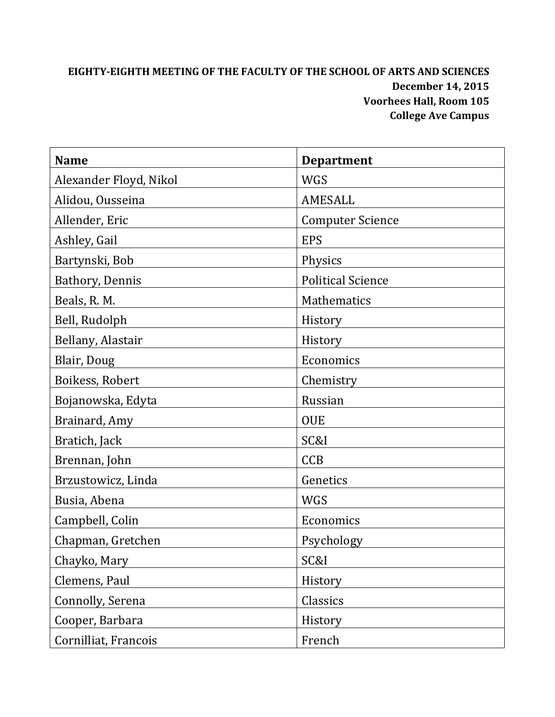# **EIGHTY‐EIGHTH MEETING OF THE FACULTY OF THE SCHOOL OF ARTS AND SCIENCES December 14, 2015 Voorhees Hall, Room 105 College Ave Campus**

| <b>Name</b>            | <b>Department</b>        |
|------------------------|--------------------------|
| Alexander Floyd, Nikol | <b>WGS</b>               |
| Alidou, Ousseina       | AMESALL                  |
| Allender, Eric         | <b>Computer Science</b>  |
| Ashley, Gail           | <b>EPS</b>               |
| Bartynski, Bob         | Physics                  |
| Bathory, Dennis        | <b>Political Science</b> |
| Beals, R. M.           | Mathematics              |
| Bell, Rudolph          | History                  |
| Bellany, Alastair      | History                  |
| Blair, Doug            | Economics                |
| Boikess, Robert        | Chemistry                |
| Bojanowska, Edyta      | Russian                  |
| Brainard, Amy          | <b>OUE</b>               |
| Bratich, Jack          | SC&I                     |
| Brennan, John          | <b>CCB</b>               |
| Brzustowicz, Linda     | Genetics                 |
| Busia, Abena           | WGS                      |
| Campbell, Colin        | Economics                |
| Chapman, Gretchen      | Psychology               |
| Chayko, Mary           | SC&I                     |
| Clemens, Paul          | History                  |
| Connolly, Serena       | Classics                 |
| Cooper, Barbara        | History                  |
| Cornilliat, Francois   | French                   |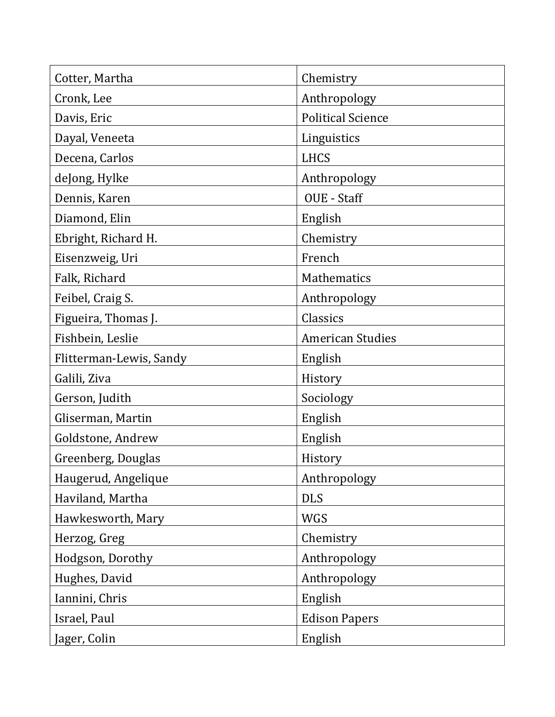| Cotter, Martha          | Chemistry                |
|-------------------------|--------------------------|
| Cronk, Lee              | Anthropology             |
| Davis, Eric             | <b>Political Science</b> |
| Dayal, Veneeta          | Linguistics              |
| Decena, Carlos          | <b>LHCS</b>              |
| deJong, Hylke           | Anthropology             |
| Dennis, Karen           | OUE - Staff              |
| Diamond, Elin           | English                  |
| Ebright, Richard H.     | Chemistry                |
| Eisenzweig, Uri         | French                   |
| Falk, Richard           | <b>Mathematics</b>       |
| Feibel, Craig S.        | Anthropology             |
| Figueira, Thomas J.     | Classics                 |
| Fishbein, Leslie        | <b>American Studies</b>  |
| Flitterman-Lewis, Sandy | English                  |
| Galili, Ziva            | History                  |
| Gerson, Judith          | Sociology                |
| Gliserman, Martin       | English                  |
| Goldstone, Andrew       | English                  |
| Greenberg, Douglas      | History                  |
| Haugerud, Angelique     | Anthropology             |
| Haviland, Martha        | <b>DLS</b>               |
| Hawkesworth, Mary       | <b>WGS</b>               |
| Herzog, Greg            | Chemistry                |
| Hodgson, Dorothy        | Anthropology             |
| Hughes, David           | Anthropology             |
| Iannini, Chris          | English                  |
| Israel, Paul            | <b>Edison Papers</b>     |
| Jager, Colin            | English                  |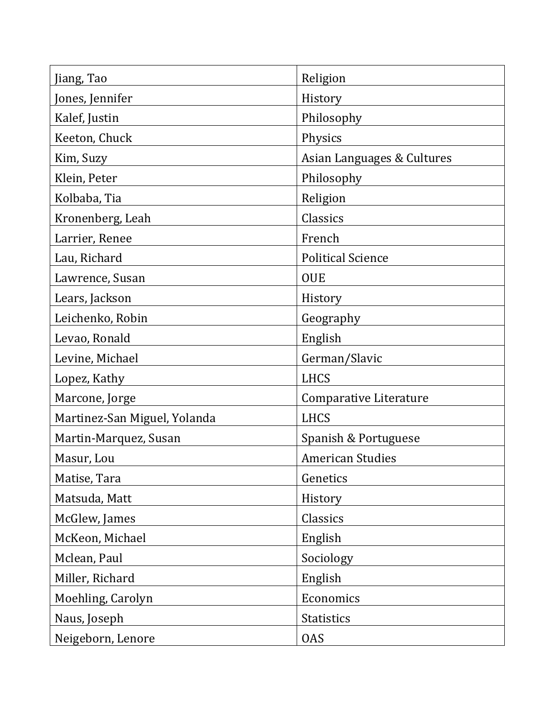| Jiang, Tao                   | Religion                   |
|------------------------------|----------------------------|
| Jones, Jennifer              | History                    |
| Kalef, Justin                | Philosophy                 |
| Keeton, Chuck                | Physics                    |
| Kim, Suzy                    | Asian Languages & Cultures |
| Klein, Peter                 | Philosophy                 |
| Kolbaba, Tia                 | Religion                   |
| Kronenberg, Leah             | Classics                   |
| Larrier, Renee               | French                     |
| Lau, Richard                 | <b>Political Science</b>   |
| Lawrence, Susan              | <b>OUE</b>                 |
| Lears, Jackson               | History                    |
| Leichenko, Robin             | Geography                  |
| Levao, Ronald                | English                    |
| Levine, Michael              | German/Slavic              |
| Lopez, Kathy                 | <b>LHCS</b>                |
| Marcone, Jorge               | Comparative Literature     |
| Martinez-San Miguel, Yolanda | <b>LHCS</b>                |
| Martin-Marquez, Susan        | Spanish & Portuguese       |
| Masur, Lou                   | <b>American Studies</b>    |
| Matise, Tara                 | Genetics                   |
| Matsuda, Matt                | History                    |
| McGlew, James                | Classics                   |
| McKeon, Michael              | English                    |
| Mclean, Paul                 | Sociology                  |
| Miller, Richard              | English                    |
| Moehling, Carolyn            | Economics                  |
| Naus, Joseph                 | <b>Statistics</b>          |
| Neigeborn, Lenore            | <b>OAS</b>                 |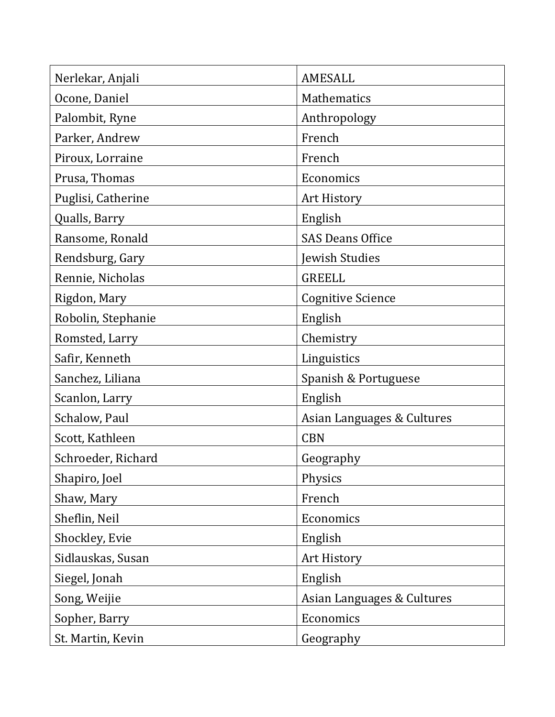| Nerlekar, Anjali   | <b>AMESALL</b>             |
|--------------------|----------------------------|
| Ocone, Daniel      | <b>Mathematics</b>         |
| Palombit, Ryne     | Anthropology               |
| Parker, Andrew     | French                     |
| Piroux, Lorraine   | French                     |
| Prusa, Thomas      | Economics                  |
| Puglisi, Catherine | <b>Art History</b>         |
| Qualls, Barry      | English                    |
| Ransome, Ronald    | <b>SAS Deans Office</b>    |
| Rendsburg, Gary    | Jewish Studies             |
| Rennie, Nicholas   | <b>GREELL</b>              |
| Rigdon, Mary       | <b>Cognitive Science</b>   |
| Robolin, Stephanie | English                    |
| Romsted, Larry     | Chemistry                  |
| Safir, Kenneth     | Linguistics                |
| Sanchez, Liliana   | Spanish & Portuguese       |
| Scanlon, Larry     | English                    |
| Schalow, Paul      | Asian Languages & Cultures |
| Scott, Kathleen    | <b>CBN</b>                 |
| Schroeder, Richard | Geography                  |
| Shapiro, Joel      | Physics                    |
| Shaw, Mary         | French                     |
| Sheflin, Neil      | Economics                  |
| Shockley, Evie     | English                    |
| Sidlauskas, Susan  | Art History                |
| Siegel, Jonah      | English                    |
| Song, Weijie       | Asian Languages & Cultures |
| Sopher, Barry      | Economics                  |
| St. Martin, Kevin  | Geography                  |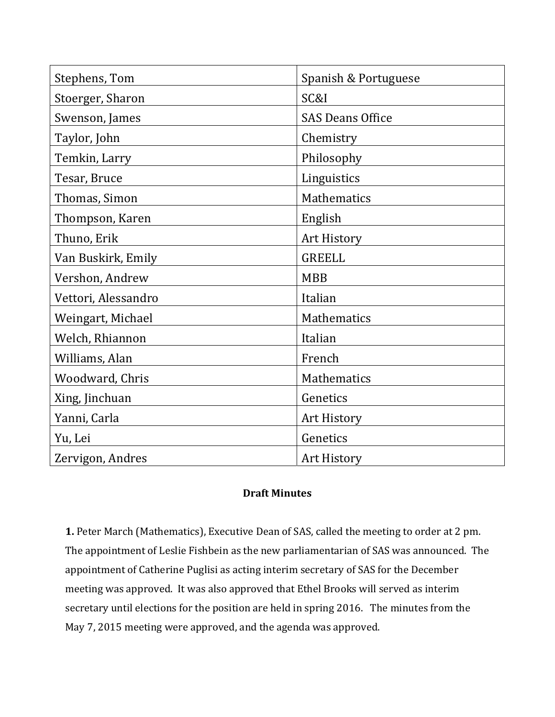| Stephens, Tom       | Spanish & Portuguese    |
|---------------------|-------------------------|
| Stoerger, Sharon    | SC&I                    |
| Swenson, James      | <b>SAS Deans Office</b> |
| Taylor, John        | Chemistry               |
| Temkin, Larry       | Philosophy              |
| Tesar, Bruce        | Linguistics             |
| Thomas, Simon       | Mathematics             |
| Thompson, Karen     | English                 |
| Thuno, Erik         | Art History             |
| Van Buskirk, Emily  | <b>GREELL</b>           |
| Vershon, Andrew     | <b>MBB</b>              |
| Vettori, Alessandro | Italian                 |
| Weingart, Michael   | Mathematics             |
| Welch, Rhiannon     | Italian                 |
| Williams, Alan      | French                  |
| Woodward, Chris     | Mathematics             |
| Xing, Jinchuan      | Genetics                |
| Yanni, Carla        | Art History             |
| Yu, Lei             | Genetics                |
| Zervigon, Andres    | <b>Art History</b>      |

# **Draft Minutes**

**1.** Peter March (Mathematics), Executive Dean of SAS, called the meeting to order at 2 pm. The appointment of Leslie Fishbein as the new parliamentarian of SAS was announced. The appointment of Catherine Puglisi as acting interim secretary of SAS for the December meeting was approved. It was also approved that Ethel Brooks will served as interim secretary until elections for the position are held in spring 2016. The minutes from the May 7, 2015 meeting were approved, and the agenda was approved.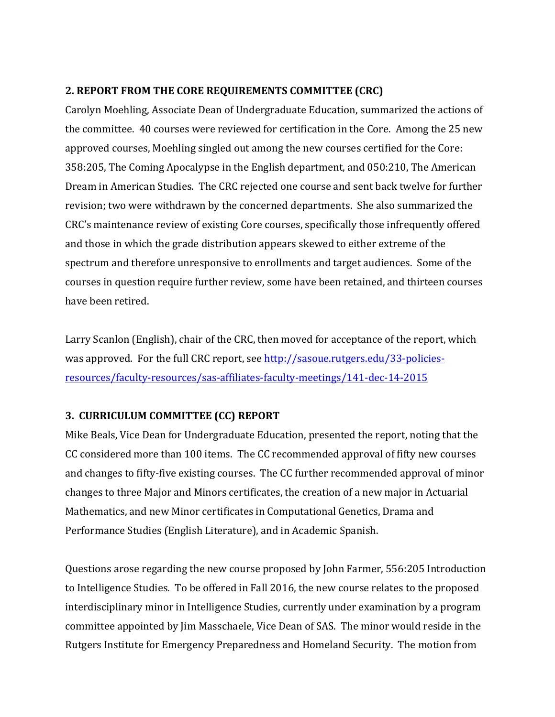#### **2. REPORT FROM THE CORE REQUIREMENTS COMMITTEE (CRC)**

Carolyn Moehling, Associate Dean of Undergraduate Education, summarized the actions of the committee. 40 courses were reviewed for certification in the Core. Among the 25 new approved courses, Moehling singled out among the new courses certified for the Core: 358:205, The Coming Apocalypse in the English department, and 050:210, The American Dream in American Studies. The CRC rejected one course and sent back twelve for further revision; two were withdrawn by the concerned departments. She also summarized the CRC's maintenance review of existing Core courses, specifically those infrequently offered and those in which the grade distribution appears skewed to either extreme of the spectrum and therefore unresponsive to enrollments and target audiences. Some of the courses in question require further review, some have been retained, and thirteen courses have been retired.

Larry Scanlon (English), chair of the CRC, then moved for acceptance of the report, which was approved. For the full CRC report, see http://sasoue.rutgers.edu/33-policiesresources/faculty‐resources/sas‐affiliates‐faculty‐meetings/141‐dec‐14‐2015

## **3. CURRICULUM COMMITTEE (CC) REPORT**

Mike Beals, Vice Dean for Undergraduate Education, presented the report, noting that the CC considered more than 100 items. The CC recommended approval of fifty new courses and changes to fifty-five existing courses. The CC further recommended approval of minor changes to three Major and Minors certificates, the creation of a new major in Actuarial Mathematics, and new Minor certificates in Computational Genetics, Drama and Performance Studies (English Literature), and in Academic Spanish.

Questions arose regarding the new course proposed by John Farmer, 556:205 Introduction to Intelligence Studies. To be offered in Fall 2016, the new course relates to the proposed interdisciplinary minor in Intelligence Studies, currently under examination by a program committee appointed by  $\lim_{n \to \infty}$  Masschaele, Vice Dean of SAS. The minor would reside in the Rutgers Institute for Emergency Preparedness and Homeland Security. The motion from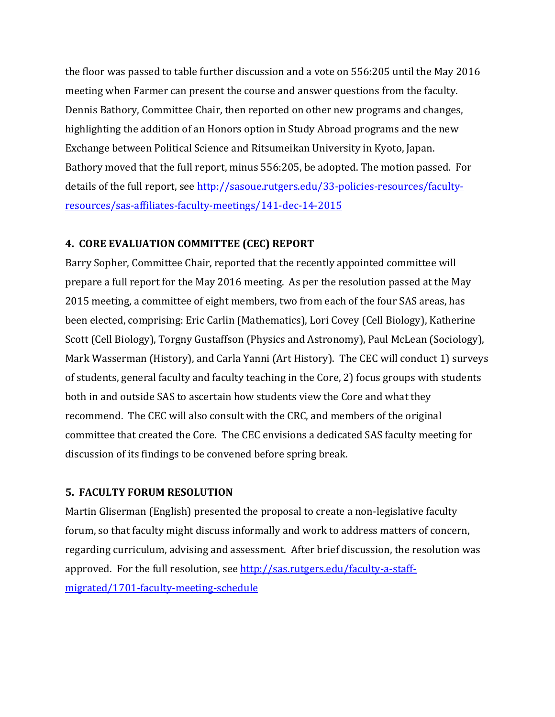the floor was passed to table further discussion and a vote on 556:205 until the May 2016 meeting when Farmer can present the course and answer questions from the faculty. Dennis Bathory, Committee Chair, then reported on other new programs and changes, highlighting the addition of an Honors option in Study Abroad programs and the new Exchange between Political Science and Ritsumeikan University in Kyoto, Japan. Bathory moved that the full report, minus 556:205, be adopted. The motion passed. For details of the full report, see http://sasoue.rutgers.edu/33-policies-resources/facultyresources/sas‐affiliates‐faculty‐meetings/141‐dec‐14‐2015

## **4. CORE EVALUATION COMMITTEE (CEC) REPORT**

Barry Sopher, Committee Chair, reported that the recently appointed committee will prepare a full report for the May 2016 meeting. As per the resolution passed at the May 2015 meeting, a committee of eight members, two from each of the four SAS areas, has been elected, comprising: Eric Carlin (Mathematics), Lori Covey (Cell Biology), Katherine Scott (Cell Biology), Torgny Gustaffson (Physics and Astronomy), Paul McLean (Sociology), Mark Wasserman (History), and Carla Yanni (Art History). The CEC will conduct 1) surveys of students, general faculty and faculty teaching in the Core, 2) focus groups with students both in and outside SAS to ascertain how students view the Core and what they recommend. The CEC will also consult with the CRC, and members of the original committee that created the Core. The CEC envisions a dedicated SAS faculty meeting for discussion of its findings to be convened before spring break.

## **5. FACULTY FORUM RESOLUTION**

Martin Gliserman (English) presented the proposal to create a non-legislative faculty forum, so that faculty might discuss informally and work to address matters of concern, regarding curriculum, advising and assessment. After brief discussion, the resolution was approved. For the full resolution, see http://sas.rutgers.edu/faculty-a-staffmigrated/1701‐faculty‐meeting‐schedule